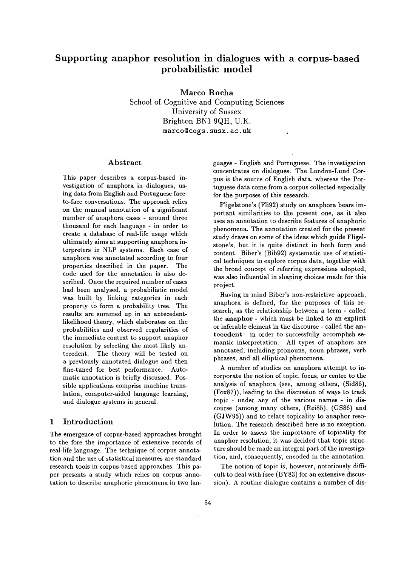# **Supporting anaphor resolution in dialogues with a corpus-based probabilistic model**

Marco Rocha School of Cognitive and Computing Sciences University of Sussex Brighton BN1 9QH, U.K. marco@cogs, susx. ac. uk

### Abstract

This paper describes a corpus-based investigation of anaphora in dialogues, using data from English and Portuguese faceto-face conversations. The approach relies on the manual annotation of a significant number of anaphora cases - around three thousand for each language - in order to create a database of real-life usage which ultimately aims at supporting anaphora interpreters in NLP systems. Each case of anaphora was annotated according to four properties described in the paper. The code used for the annotation is also described. Once the required number of cases had been analysed, a probabilistic model was built by linking categories in each property to form a probability tree. The results are summed up in an antecedentlikelihood theory, which elaborates on the probabilities and observed regularities of the immediate context to support anaphor resolution by selecting the most likely antecedent. The theory will be tested on a previously annotated dialogue and then fine-tuned for best performance. Automatic annotation is briefly discussed. Possible applications comprise machine translation, computer-aided language learning, and dialogue systems in general.

## 1 Introduction

The emergence of corpus-based approaches brought to the fore the importance of extensive records of real-life language. The technique of corpus annotation and the use of statistical measures are standard research tools in corpus-based approaches. This paper presents a study which relies on corpus annotation to describe anaphoric phenomena in two languages - English and Portuguese. The investigation concentrates on dialogues. The London-Lund Corpus is the source of English data, whereas the Portuguese data come from a corpus collected especially for the purposes of this research.

Fligelstone's (Fii92) study on anaphora bears important similarities to the present one, as it also uses an annotation to describe features of anaphoric phenomena. The annotation created for the present study draws on some of the ideas which guide Fligelstone's, but it is quite distinct in both form and content. Biber's (Bib92) systematic use of statistical techniques to explore corpus data, together with **the** broad concept of referring expressions adopted, was also influential in shaping choices made for this project.

Having in mind Biber's non-restrictive approach, anaphora is defined, for the purposes of this research, as the relationship between a term - called the anaphor- which must be linked to an explicit or inferable element in the discourse - called the antecedent - in order to successfully accomplish semantic interpretation. All types of anaphors are annotated, including pronouns, noun phrases, verb phrases, and all elliptical phenomena.

A number of studies on anaphora attempt to incorporate the notion of topic, focus, or centre **to the**  analysis of anaphora (see, among others, (Sid86), (Fox87)), leading to the discussion of ways to track topic - under any of the various names - in discourse (among many others, (Rei85), (GS86) and (GJW95)) and to relate topicality to anaphor resolution. The research described here is no exception. In order to assess the importance of topicality for anaphor resolution, it was decided that topic structure should be made an integral part of the investigation, and, consequently, encoded in the annotation.

The notion of topic is, however, notoriously difficult to deal with (see (BY83) for an extensive discussion). A routine dialogue contains a number of dis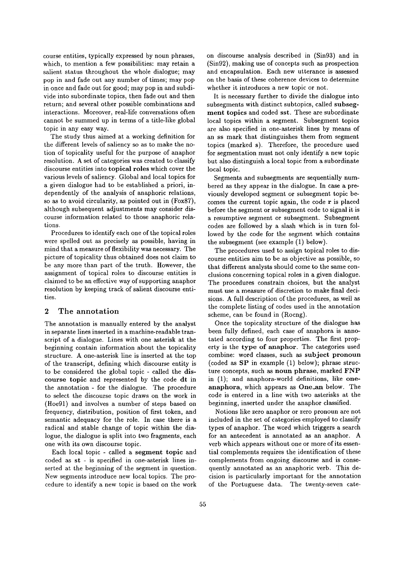course entities, typically expressed by noun phrases, which, to mention a few possibilities: may retain a salient status throughout the whole dialogue; may pop in and fade out any number of times; may pop in once and fade out for good; may pop in and subdivide into subordinate topics, then fade out and then return; and several other possible combinations and interactions. Moreover, real-life conversations often cannot be summed up in terms of a title-like global topic in any easy way.

The study thus aimed at a working definition for the different levels of saliency so as to make the notion of topicality useful for the purpose of anaphor resolution. A set of categories was created to classify discourse entities into topical roles which cover the various levels of saliency. Global and local topics for a given dialogue had to be established a priori, independently of the analysis of anaphoric relations, so as to avoid circularity, as pointed out in (Fox87), although subsequent adjustments may consider discourse information related to those anaphoric relations.

Procedures to identify each one of the topical roles were spelled out as precisely as possible, having in mind that a measure of flexibility was necessary. The picture of topicality thus obtained does not claim to be any more than part of the truth. However, the assignment of topical roles to discourse entities is claimed to be an effective way of supporting anaphor resolution by keeping track of salient discourse entities.

#### 2 The annotation

The annotation is manually entered by the analyst in separate lines inserted in a machine-readable transcript of a dialogue. Lines with one asterisk at the beginning contain information about the topicality structure. A one-asterisk line is inserted at the top of the transcript, defining which discourse entity is to be considered the global topic - called the discourse topic and represented by the code dt in the annotation- for the dialogue. The procedure to select the discourse topic draws on the work in (Hoe91) and involves a number of steps based on frequency, distribution, position of first token, and semantic adequacy for the role. In case there is a radical and stable change of topic within the dialogue, the dialogue is split into two fragments, each one with its own discourse topic.

Each local topic - called a segment topic and coded as st - is specified in one-asterisk lines inserted at the beginning of the segment in question. New segments introduce new local topics. The procedure to identify a new topic is based on the work on discourse analysis described in (Sin93) and in (Sin92), making use of concepts such as prospection and encapsulation. Each new utterance is assessed on the basis of these coherence devices to determine whether it introduces a new topic or not.

It is necessary further to divide the dialogue into subsegments with distinct subtopics, called subsegment topics and coded sst. These are subordinate local topics within a segment. Subsegment topics are also specified in one-asterisk lines by means of an ss mark that distinguishes them from segment topics (marked s). Therefore, the procedure used for segmentation must not only identify a new topic but also distinguish a local topic from a subordinate local topic.

Segments and subsegments are sequentially numbered as they appear in the dialogue. In case a previously developed segment or subsegment topic becomes the current topic again, the code r is placed before the segment or subsegment code to signal it is a resumptive segment or subsegment. Subsegment codes are followed by a slash which is in turn followed by the code for the segment which contains the subsegment (see example (1) below).

The procedures used to assign topical roles to discourse entities aim to be as objective as possible, so that different analysts should come to the same conclusions concerning topical roles in a given dialogue. The procedures constrain choices, but the analyst must use a measure of discretion to make final decisions. A full description of the procedures, as well as the complete listing of codes used in the annotation scheme, can be found in (Rocng).

Once the topicality structure of the dialogue has been fully defined, each case of anaphora is annotated according to four properties. The first property is the type of anaphor. The categories used combine: word classes, such as subject pronoun (coded as SP in example (1) below); phrase structure concepts, such as noun phrase, marked FNP in (1); and anaphora-world definitions, like oneanaphora, which appears as One\_an below. The code is entered in a line with two asterisks at the beginning, inserted under the anaphor classified.

Notions like zero anaphor or zero pronoun are not included in the set of categories employed to classify types of anaphor. The word which triggers a search for an antecedent is annotated as an anaphor. A verb which appears without one or more of its essential complements requires the identification of these complements from ongoing discourse and is consequently annotated as an anaphoric verb. This decision is particularly important for the annotation of the Portuguese data. The twenty-seven cate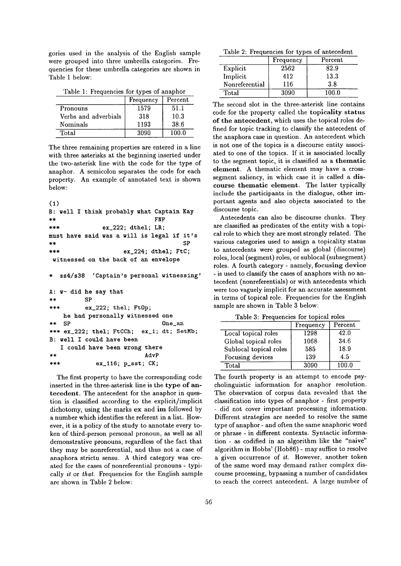gories used in the analysis of the English sample were grouped into three umbrella categories. Frequencies for these umbrella categories are shown in Table 1 below:

Table 1: Frequencies for types of anaphor

|                      | Frequency | Percent |
|----------------------|-----------|---------|
| Pronouns             | 1579      | 51.1    |
| Verbs and adverbials | 318       | 10.3    |
| Nominals             | 1193      | 38.6    |
| Total                | 3090      | 100.0   |

The three remaining properties are entered in a line with three asterisks at the beginning inserted under the two-asterisk line with the code for the type of anaphor. A semicolon separates the code for each property. An example of annotated text is shown below:

```
(1)
```

```
B: well I think probably what Captain Kay 
** FNP 
*** ex_222; dthel; LR; 
must have said was a will is legal if it's 
** SP 
*** ex_224; dthel; FtC;
witnessed on the back of an envelope
```
ss4/s38 'Captain's personal witnessing'

```
A: w- did he say that 
** SP 
        *** ex_222; thel; Ft0p; 
   he had personally witnessed one 
** SP One_an 
*** ex_222; thel; FtCCh; ex_1; dt; SetMb;
B: well I could have been 
  I could have been wrong there 
** AdvP 
*** ex_ll6; p_sst; CK;
```
The first property to have the corresponding code inserted in the three-asterisk line is the type of antecedent. The antecedent for the anaphor in question is classified according to the explicit/implicit dichotomy, using the marks ex and im followed by a number which identifies the referent in a list. However, it is a policy of the study to annotate every token of third-person personal pronoun, as well as all demonstrative pronouns, regardless of the fact that they may be nonreferential, and thus not a case of anaphora strictu sensu. A third category was created for the cases of nonreferential pronouns - typically *it* or *that.* Frequencies for the English sample are shown in Table 2 below:

Table 2: Frequencies for types of antecedent

|                | Frequency | Percent |
|----------------|-----------|---------|
| Explicit       | 2562      | 82.9    |
| Implicit       | 412       | 13.3    |
| Nonreferential | 116       | 3.8     |
| Total          | 3090      |         |

The second slot in the three-asterisk line contains code for the property called the topicality status of the antecedent, which uses the topical roles defined for topic tracking to classify the antecedent of the anaphora case in question. An antecedent which is not one of the topics is a discourse entity associated to one of the topics. If it is associated locally to the segment topic, it is classified as a thematic element. A thematic element may have a crosssegment saliency, in which case it is called a discourse thematic element. The latter typically include the participants in the dialogue, other important agents and also objects associated to the discourse topic.

Antecedents can also be discourse chunks. They are classified as predicates of the entity with a topical role to which they are most strongly related. The various categories used to assign a topicality status to antecedents were grouped as global (discourse) roles, local (segment) roles, or sublocal (subsegment) roles. A fourth category - namely, focusing device - is used to classify the cases of anaphors with no antecedent (nonreferentials) or with antecedents which were too vaguely implicit for an accurate assessment in terms of topical role. Frequencies for the English sample are shown in Table 3 below:

Table 3: Frequencies for topical roles

|                        | Frequency | Percent |
|------------------------|-----------|---------|
| Local topical roles    | 1298      | 42.0    |
| Global topical roles   | 1068      | 34.6    |
| Sublocal topical roles | 585       | 18.9    |
| Focusing devices       | 139       | 4.5     |
| Total                  | 3090      | 100.0   |

The fourth property is an attempt to encode psycholinguistic information for anaphor resolution. The observation of corpus data revealed that the classification into types of anaphor - first property - did not cover important processing information. Different strategies are needed to resolve the same type of anaphor - and often the same anaphoric word or phrase - in different contexts. Syntactic information - as codified in an algorithm like the "naive" algorithm in Hobbs' (Hob86) - may suffice to resolve a given occurrence of  $it$ . However, another token of the same word may demand rather complex discourse processing, bypassing a number of candidates to reach the correct antecedent. A large number of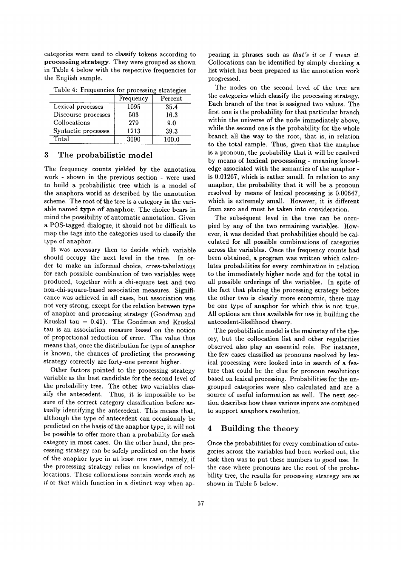categories were used to classify tokens according to processing strategy. They were grouped as shown in Table 4 below with the respective frequencies for the English sample.

| Twore 1. Trequencies for processing strategies |           |         |
|------------------------------------------------|-----------|---------|
|                                                | Frequency | Percent |
| Lexical processes                              | 1095      | 35.4    |
| Discourse processes                            | 503       | 16.3    |
| Collocations                                   | 279       | 9.0     |
| Syntactic processes                            | 1213      | 39.3    |
| Total                                          | 3090      | 100.0   |

Table  $4$ <sup>.</sup> Frequencies for processing strategies

# 3 The probabilistic model

The frequency counts yielded by the annotation work - shown in the previous section - were used to build a probabilistic tree which is a model of the anaphora world as described by the annotation scheme. The root of the tree is a category in the variable named type of anaphor. The choice bears in mind the possibility of automatic annotation. Given a POS-tagged dialogue, it should not be difficult to map the tags into the categories used to classify the type of anaphor.

It was necessary then to decide which variable should occupy the next level in the tree. In order to make an informed choice, cross-tabulations for each possible combination of two variables were produced, together with a chi-square test and two non-chi-square-based association measures. Significance was achieved in all cases, but association was not very strong, except for the relation between type of anaphor and processing strategy (Goodman and Kruskal tau  $= 0.41$ ). The Goodman and Kruskal tau is an association measure based on the notion of proportional reduction of error. The value thus means that, once the distribution for type of anaphor is known, the chances of predicting the processing strategy correctly are forty-one percent higher.

Other factors pointed to the processing strategy variable as the best candidate for the second level of the probability tree. The other two variables classify the antecedent. Thus, it is impossible to be sure of the correct category classification before actually identifying the antecedent. This means that, although the type of antecedent can occasionaly be predicted on the basis of the anaphor type, it will not be possible to offer more than a probability for each category in most cases. On the other hand, the processing strategy can be safely predicted on the basis of the anaphor type in at least one case, namely, if the processing strategy relies on knowledge of collocations. These collocations contain words such as it or *that* which function in a distinct way when appearing in phrases such as *that's it* or *I mean it.*  Collocations can be identified by simply checking a list which has been prepared as the annotation work progressed.

The nodes on the second level of the tree are the categories which classify the processing strategy. Each branch of the tree is assigned two values. The first one is the probability for that particular branch within the universe of the node immediately above, while the second one is the probability for the whole branch all the way to the root, that is, in relation to the total sample. Thus, given that the anaphor is a pronoun, the probability that it will be resolved by means of lexical processing - meaning knowledge associated with the semantics of the anaphor is 0.01267, which is rather small. In relation to any anaphor, the probability that it will be a pronoun resolved by means of lexical processing is 0.00647, which is extremely small. However, it is different from zero and must be taken into consideration.

The subsequent level in the tree can be occupied by any of the two remaining variables. However, it was decided that probabilities should be calculated for all possible combinations of categories across the variables. Once the frequency counts had been obtained, a program was written which calculates probabilities for every combination in relation to the immediately higher node and for the total in all possible orderings of the variables. In spite of the fact that placing the processing strategy before the other two is clearly more economic, there may be one type of anaphor for which this is not true. All options are thus available for use in building the antecedent-likelihood theory.

The probabilistie model is the mainstay of the theory, but the collocation list and other regularities observed also play an essential role. For instance, the few cases classified as pronouns resolved by lexical processing were looked into in search of a feature that could be the clue for pronoun resolutions based on lexical processing. Probabilities for the ungrouped categories were also calculated and are a source of useful information as well. The next section describes how these various inputs are combined to support anaphora resolution.

# **4 Building the theory**

Once the probabilities for every combination of categories across the variables had been worked out, the task then was to put these numbers to good use. In the case where pronouns are the root of the probability tree, the results for processing strategy are as shown in Table 5 below.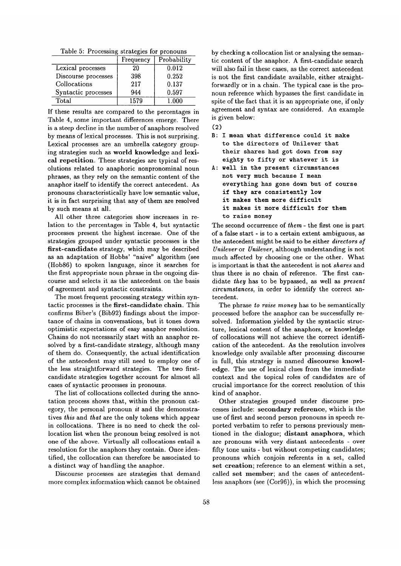Table 5: Processing strategies for pronouns

|                     | Frequency | Probability |
|---------------------|-----------|-------------|
| Lexical processes   | 20        | 0.012       |
| Discourse processes | 398       | 0.252       |
| Collocations        | 217       | 0.137       |
| Syntactic processes | 944       | 0.597       |
| Total               | 1579      | 1.000       |

If these results are compared to the percentages in Table 4, some important differences emerge. There is a steep decline in the number of anaphors resolved by means of lexical processes. This is not surprising. Lexical processes are an umbrella category grouping strategies such as world knowledge and lexical repetition. These strategies are typical of resolutions related to anaphoric nonpronominal noun phrases, as they rely on the semantic content of the anaphor itself to identify the correct antecedent. As pronouns characteristically have low semantic value, it is in fact surprising that any of them are resolved by such means at all.

All other three categories show increases in relation to the percentages in Table 4, but syntactic processes present the highest increase. One of the strategies grouped under syntactic processes is the first-candldate strategy, which may be described as an adaptation of Hobbs' "naive" algorithm (see (Hob86) to spoken language, since it searches for the first appropriate noun phrase in the ongoing discourse and selects it as the antecedent on the basis of agreement and syntactic constraints.

The most frequent processing strategy within syntactic processes is the first-candidate chain. This confirms Biber's (Bib92) findings about the importance of chains in conversations, but it tones down optimistic expectations of easy anaphor resolution. Chains do not necessarily start with an anaphor resolved by a first-candidate strategy, although many of them do. Consequently, the actual identification of the antecedent may still need to employ one of the less straightforward strategies. The two firstcandidate strategies together account for almost all cases of syntactic processes in pronouns.

The list of collocations collected during the annotation process shows that, within the pronoun category, the personal pronoun *it* and the demonstratives *this* and *that* are the only tokens which appear in collocations. There is no need to check the collocation list when the pronoun being resolved is not one of the above. Virtually all collocations entail a resolution for the anaphors they contain. Once identified, the collocation can therefore be associated to a distinct way of handling the anaphor.

Discourse processes are strategies that demand more complex information which cannot be obtained

by checking a collocation list or analysing the semantic content of the anaphor. A first-candidate search will also fail in these cases, as the correct antecedent is not the first candidate available, either straightforwardly or in a chain. The typical case is the pronoun reference which bypasses the first candidate in spite of the fact that it is an appropriate one, if only agreement and syntax are considered. An example is given below:



- **B:** I mean what difference could it make to the directors of Unilever that their shares had got down from say eighty to fifty or whatever it is
- A: well in the present circumstances not very much because I mean everything has gone down but of course if they are consistently low it makes them more difficult it makes it more difficult for them to raise money

The second occurrence of *them -* the first one is part of a false start - is to a certain extent ambiguous, as the antecedent might be said to be either *directors of Unilever* or *Unilever,* although understanding is not much affected by choosing one or the other. What is important is that the antecedent is not *shares* and thus there is no chain of reference. The first candidate *they* has to be bypassed, as well as *present circumstances,* in order to identify the correct antecedent.

The phrase *to raise money* has to be semantically processed before the anaphor can be successfully resolved. Information yielded by the syntactic structure, lexical content of the anaphors, or knowledge of collocations will not achieve the correct identification of the antecedent. As the resolution involves knowledge only available after processing discourse in full, this strategy is named discourse knowledge. The use of lexical clues from the immediate context and the topical roles of candidates are of crucial importance for the correct resolution of this kind of anaphor.

Other strategies grouped under discourse processes include: secondary reference, which is the use of first and second person pronouns in speech reported verbatim to refer to persons previously mentioned in the dialogue; distant anaphora, which are pronouns with very distant antecedents - over fifty tone units - but without competing candidates; pronouns which conjoin referents in a set, called set creation; reference to an element within a set, called set member; and the cases of antecedentless anaphors (see (Cor96)), in which the processing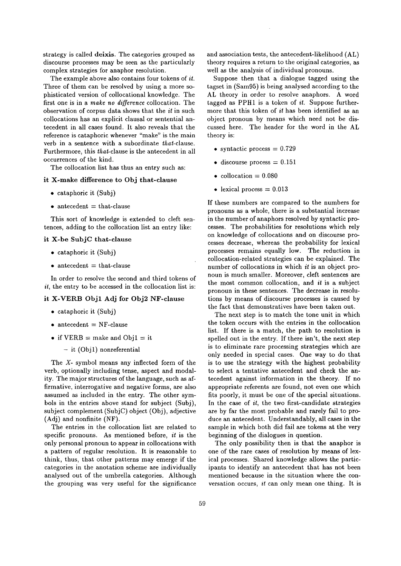strategy is called deixis. The categories grouped as discourse processes may be seen as the particularly complex strategies for anaphor resolution.

The example above also contains four tokens of *it.*  Three of them can be resolved by using a more sophisticated version of collocational knowledge. The first one is in a *make no difference* collocation. The observation of corpus data shows that the it in such collocations has an explicit clausal or sentential antecedent in all cases found. It also reveals that the reference is cataphoric whenever "make" is the main verb in a sentence with a subordinate *that-clause.*  Furthermore, this *that-clause* is the antecedent in all occurrences of the kind.

The collocation list has thus an entry such as:

### it X-make difference to Obj that-clause

- cataphoric it (Subj)
- $\bullet$  antecedent = that-clause

This sort of knowledge is extended to cleft sentences, adding to the collocation list an entry like:

### it X-be SubjC that-clause

- cataphoric it (Subj)
- $\bullet$  antecedent  $=$  that-clause

In order to resolve the second and third tokens of  $it$ , the entry to be accessed in the collocation list is:

#### it X-VERB Objl Adj for Obj2 NF-clause

- cataphoric it (Subj)
- $\bullet$  antecedent = NF-clause
- if  $VERB = make$  and  $Obj1 = it$ 
	- it (Objl) nonreferential

The X- symbol means any inflected form of the verb, optionally including tense, aspect and modality. The major structures of the language, such as affirmative, interrogative and negative forms, are also assumed as included in the entry. The other symbols in the entries above stand for subject (Subj), subject complement  $(Subj)$  object  $(Obj)$ , adjective  $(Adj)$  and nonfinite  $(NF)$ .

The entries in the collocation list are related to specific pronouns. As mentioned before, *it* is the only personal pronoun to appear in collocations with a pattern of regular resolution. It is reasonable to think, thus, that other patterns may emerge if the categories in the anotation scheme are individually analysed out of the umbrella categories. Although the grouping was very useful for the significance and association tests, the antecedent-likelihood (AL) theory requires a return to the original categories, as well as the analysis of individual pronouns.

Suppose then that a dialogue tagged using the tagset in (Sam95) is being analysed according to the AL theory in order to resolve anaphors. A word tagged as PPH1 is a token of *it.* Suppose furthermore that this token of *it* has been identified as an object pronoun by means which need not be discussed here. The header for the word in the AL theory is:

- syntactic process  $= 0.729$
- discourse process  $= 0.151$
- collocation  $= 0.080$
- lexical process  $= 0.013$

If these numbers are compared to the numbers for pronouns as a whole, there is a substantial increase in the number of anaphors resolved by syntactic processes. The probabilities for resolutions which rely on knowledge of collocations and on discourse processes decrease, whereas the probability for lexical processes remains equally low. The reduction in collocation-related strategies can be explained. The number of collocations in which it is an object pronoun is much smaller. Moreover, cleft sentences are the most common collocation, and it is a subject pronoun in these sentences. The decrease in resolutions by means of discourse processes is caused by the fact that demonstratives have been taken out.

The next step is to match the tone unit in which the token occurs with the entries in the collocation list. If there is a match, the path to resolution is spelled out in the entry. If there isn't, the next step is to eliminate rare processing strategies which are only needed in special cases. One way to do that is to use the strategy with the highest probability to select a tentative antecedent and check the antecedent against information in the theory. If no appropriate referents are found, not even one which fits poorly, it must be one of the special situations. In the case of  $it$ , the two first-candidate strategies are by far the most probable and rarely fail to produce an antecedent. Understandably, all cases in the sample in which both did fail are tokens at the very beginning of the dialogues in question.

The only possibility then is that the anaphor is one of the rare cases of resolution by means of lexical processes. Shared knowledge allows the participants to identify an antecedent that has not been mentioned because in the situation where the conversation occurs, *it* can only mean one thing. It is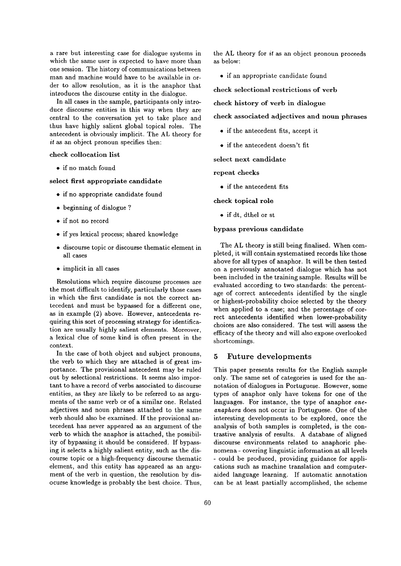a rare but interesting case for dialogue systems in which the same user is expected to have more than one session. The history of communications between man and machine would have to be available in order to allow resolution, as it is the anaphor that introduces the discourse entity in the dialogue.

In all cases in the sample, participants only introduce discourse entities in this way when they are central to the conversation yet to take place and thus have highly salient global topical roles. The antecedent is obviously implicit. The AL theory for *it as* an object pronoun specifies then:

#### **check** collocation list

• if no match found

### select first appropriate **candidate**

- if no appropriate candidate found
- beginning of dialogue ?
- if not no record
- if yes lexical process; shared knowledge
- discourse topic or discourse thematic element in all cases
- implicit in all cases

Resolutions which require discourse processes are the most difficult to identify, particularly those cases in which the first candidate is not the correct antecedent and must be bypassed for a different one, as in example (2) above. However, antecedents requiring this sort of processing strategy for identification are usually highly salient elements. Moreover, a lexical clue of some kind is often present in the context.

In the case of both object and subject pronouns, the verb to which they are attached is of great importance. The provisional antecedent may be ruled out by selectional restrictions. It seems also important to have a record of verbs associated to discourse entities, as they are likely to be referred to as arguments of the same verb or of a similar one. Related adjectives and noun phrases attached to the same verb should also be examined. If the provisional antecedent has never appeared as an argument of the verb to which the anaphor is attached, the possibility of bypassing it should be considered. If bypassing it selects a highly salient entity, such as the discourse topic or a high-frequency discourse thematic element, and this entity has appeared as an argument of the verb in question, the resolution by disocurse knowledge is probably the best choice. Thus, the AL theory for  $it$  as an object pronoun proceeds as below:

• if an appropriate candidate found

**check** selectional restrictions of verb

## **check** history of verb in dialogue

check associated adjectives and noun phrases

- if the antecedent fits, accept it
- if the antecedent doesn't fit

select next candidate

repeat checks

• if the antecedent fits

**check topical** role

• if dt, dthel or st

# bypass previous **candidate**

The AL theory is still being finalised. When completed, it will contain systematised records like those above for all types of anaphor. It will be then tested on a previously annotated dialogue which has not been included in the training sample. Results will be evaluated according to two standards: the percentage of correct antecedents identified by the single or highest-probability choice selected by the theory when applied to a case; and the percentage of correct antecedents identified when lower-probability choices are also considered. The test will assess the efficacy of the theory and will also expose overlooked shortcomings.

#### 5 Future developments

This paper presents results for the English sample only. The same set of categories is used for the annotation of dialogues in Portuguese. However, some types of anaphor only have tokens for one of the languages. For instance, the type of anaphor *oneanaphora* does not occur in Portuguese. One of the interesting developments to be explored, once the analysis of both samples is completed, is the contrastive analysis of results. A database of aligned discourse environments related to anaphoric phenomena- covering linguistic information at all levels - could be produced, providing guidance for applications such as machine translation and computeraided language learning. If automatic annotation can be at least partially accomplished, the scheme